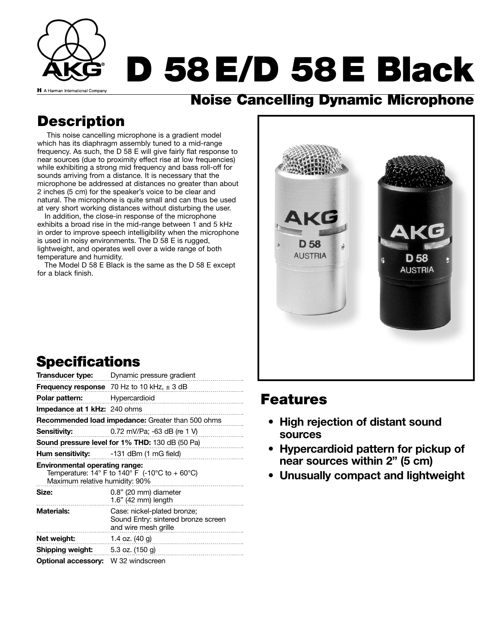

### **Noise Cancelling Dynamic Microphone**

## **Description**

This noise cancelling microphone is a gradient model which has its diaphragm assembly tuned to a mid-range frequency. As such, the D 58 E will give fairly flat response to near sources (due to proximity effect rise at low frequencies) while exhibiting a strong mid frequency and bass roll-off for sounds arriving from a distance. It is necessary that the microphone be addressed at distances no greater than about 2 inches (5 cm) for the speaker's voice to be clear and natural. The microphone is quite small and can thus be used at very short working distances without disturbing the user.

In addition, the close-in response of the microphone exhibits a broad rise in the mid-range between 1 and 5 kHz in order to improve speech intelligibility when the microphone is used in noisy environments. The D 58 E is rugged, lightweight, and operates well over a wide range of both temperature and humidity.

The Model D 58 E Black is the same as the D 58 E except for a black finish.



## **Specifications**

| Transducer type:                                                                                                                            | Dynamic pressure gradient                                                                  |
|---------------------------------------------------------------------------------------------------------------------------------------------|--------------------------------------------------------------------------------------------|
|                                                                                                                                             | <b>Frequency response</b> 70 Hz to 10 kHz, $\pm$ 3 dB                                      |
| Polar pattern:                                                                                                                              | Hypercardioid                                                                              |
| <b>Impedance at 1 kHz:</b> 240 ohms                                                                                                         |                                                                                            |
| <b>Recommended load impedance:</b> Greater than 500 ohms                                                                                    |                                                                                            |
| Sensitivity:                                                                                                                                | 0.72 mV/Pa; -63 dB (re 1 V)                                                                |
| Sound pressure level for 1% THD: 130 dB (50 Pa)                                                                                             |                                                                                            |
|                                                                                                                                             | <b>Hum sensitivity:</b> -131 dBm (1 mG field)                                              |
| <b>Environmental operating range:</b><br>Temperature: $14^{\circ}$ F to $140^{\circ}$ F (-10°C to + 60°C)<br>Maximum relative humidity: 90% |                                                                                            |
| Size:                                                                                                                                       | 0.8" (20 mm) diameter<br>1.6" (42 mm) length                                               |
| <b>Materials:</b>                                                                                                                           | Case: nickel-plated bronze;<br>Sound Entry: sintered bronze screen<br>and wire mesh grille |
| Net weight:                                                                                                                                 | 1.4 oz. $(40 g)$                                                                           |
| Shipping weight:                                                                                                                            | 5.3 oz. (150 g)                                                                            |
| <b>Optional accessory:</b>                                                                                                                  | W 32 windscreen                                                                            |

### **Features**

- **High rejection of distant sound sources**
- **Hypercardioid pattern for pickup of near sources within 2" (5 cm)**
- **Unusually compact and lightweight**